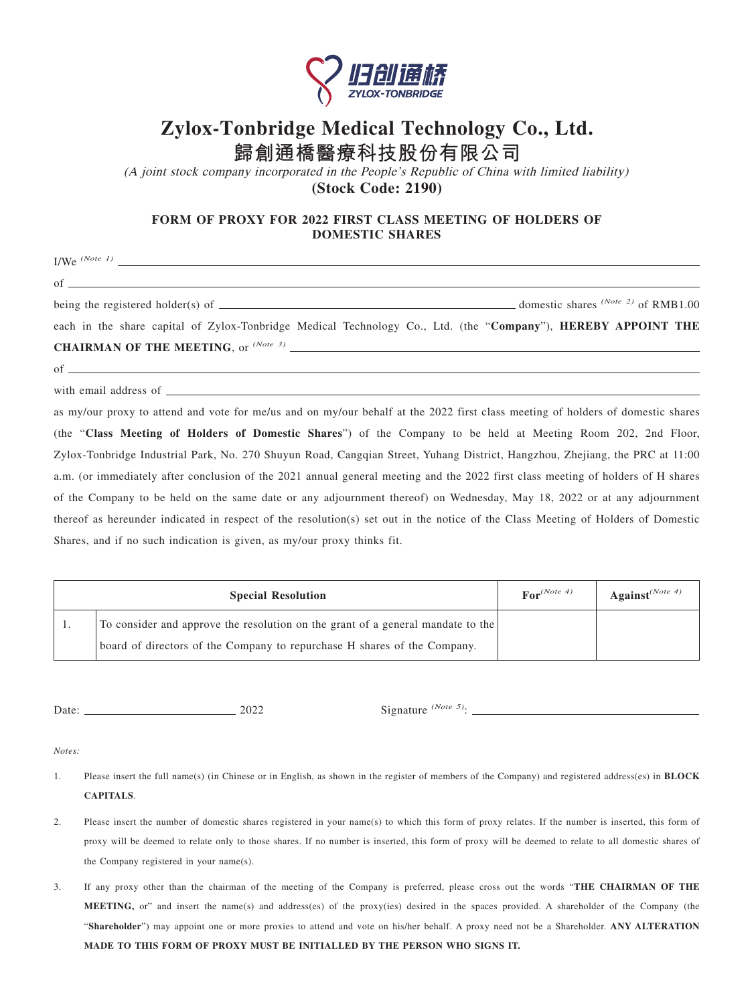

## **Zylox-Tonbridge Medical Technology Co., Ltd.**

**歸創通橋醫療科技股份有限公司**

(A joint stock company incorporated in the People's Republic of China with limited liability) **(Stock Code: 2190)**

## **FORM OF PROXY FOR 2022 FIRST CLASS MEETING OF HOLDERS OF DOMESTIC SHARES**

<u> 1989 - Johann Barn, mars ann an t-Amhain Aonaich an t-Aonaich an t-Aonaich ann an t-Aonaich ann an t-Aonaich</u>

I/We *(Note 1)*

 $of$   $\qquad$ 

being the registered holder(s) of **domestic shares** *(Note 2)* of RMB1.00

each in the share capital of Zylox-Tonbridge Medical Technology Co., Ltd. (the "**Company**"), **HEREBY APPOINT THE CHAIRMAN OF THE MEETING**, or *(Note 3)*

 $of$   $\qquad$ 

with email address of  $\_\_$ 

as my/our proxy to attend and vote for me/us and on my/our behalf at the 2022 first class meeting of holders of domestic shares (the "**Class Meeting of Holders of Domestic Shares**") of the Company to be held at Meeting Room 202, 2nd Floor, Zylox-Tonbridge Industrial Park, No. 270 Shuyun Road, Cangqian Street, Yuhang District, Hangzhou, Zhejiang, the PRC at 11:00 a.m. (or immediately after conclusion of the 2021 annual general meeting and the 2022 first class meeting of holders of H shares of the Company to be held on the same date or any adjournment thereof) on Wednesday, May 18, 2022 or at any adjournment thereof as hereunder indicated in respect of the resolution(s) set out in the notice of the Class Meeting of Holders of Domestic Shares, and if no such indication is given, as my/our proxy thinks fit.

| <b>Special Resolution</b> |                                                                                 | $\text{For}^{(Note 4)}$ | Against <sup>(Note 4)</sup> |
|---------------------------|---------------------------------------------------------------------------------|-------------------------|-----------------------------|
|                           | To consider and approve the resolution on the grant of a general mandate to the |                         |                             |
|                           | board of directors of the Company to repurchase H shares of the Company.        |                         |                             |

Date: 2022 Signature *(Note 5)*:

*Notes:*

- 1. Please insert the full name(s) (in Chinese or in English, as shown in the register of members of the Company) and registered address(es) in **BLOCK CAPITALS**.
- 2. Please insert the number of domestic shares registered in your name(s) to which this form of proxy relates. If the number is inserted, this form of proxy will be deemed to relate only to those shares. If no number is inserted, this form of proxy will be deemed to relate to all domestic shares of the Company registered in your name(s).
- 3. If any proxy other than the chairman of the meeting of the Company is preferred, please cross out the words "**THE CHAIRMAN OF THE MEETING,** or" and insert the name(s) and address(es) of the proxy(ies) desired in the spaces provided. A shareholder of the Company (the "**Shareholder**") may appoint one or more proxies to attend and vote on his/her behalf. A proxy need not be a Shareholder. **ANY ALTERATION MADE TO THIS FORM OF PROXY MUST BE INITIALLED BY THE PERSON WHO SIGNS IT.**